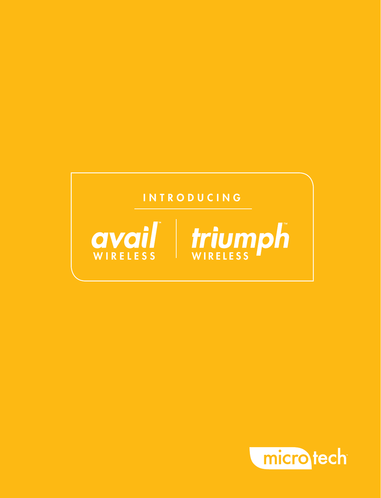#### **INTRODUCING**



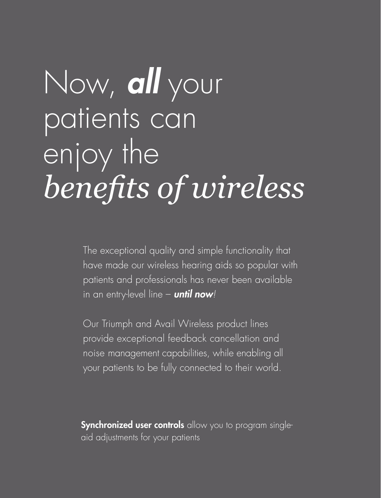## Now, *all* your patients can *benefits of wireless* enjoy the

The exceptional quality and simple functionality that have made our wireless hearing aids so popular with patients and professionals has never been available in an entry-level line – *until now!*

Our Triumph and Avail Wireless product lines provide exceptional feedback cancellation and noise management capabilities, while enabling all your patients to be fully connected to their world.

**Synchronized user controls** allow you to program singleaid adjustments for your patients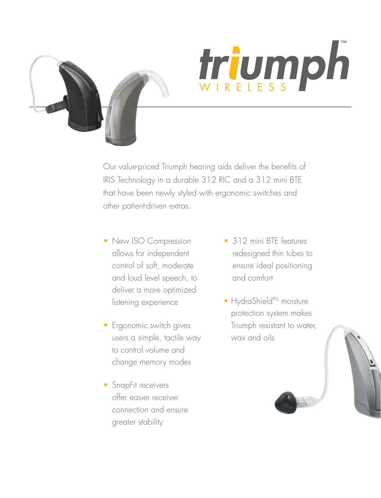

# triumph

Our value-priced Triumph hearing aids deliver the benefits of IRIS Technology in a durable 312 RIC and a 312 mini BTE that have been newly styled with ergonomic switches and other patient-driven extras.

- New ISO Compression allows for independent control of soft, moderate and loud level speech, to deliver a more optimized listening experience
- Ergonomic switch gives users a simple, tactile way to control volume and change memory modes
- SnapFit receivers offer easier receiver connection and ensure greater stability
- 312 mini BTF features redesigned thin tubes to ensure ideal positioning and comfort
- HydraShield®<sup>2</sup> moisture protection system makes Triumph resistant to water, wax and oils

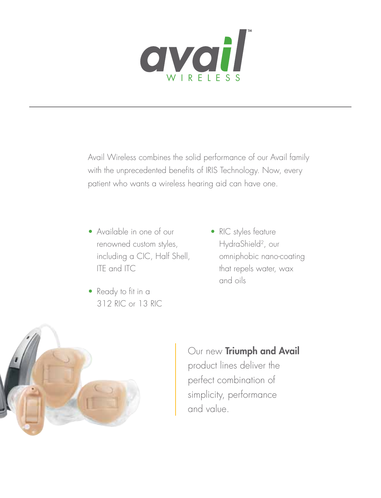

Avail Wireless combines the solid performance of our Avail family with the unprecedented benefits of IRIS Technology. Now, every patient who wants a wireless hearing aid can have one.

- Available in one of our renowned custom styles, including a CIC, Half Shell, ITE and ITC
- Ready to fit in a 312 RIC or 13 RIC
- RIC styles feature HydraShield2, our omniphobic nano-coating that repels water, wax and oils



Our new Triumph and Avail product lines deliver the perfect combination of simplicity, performance and value.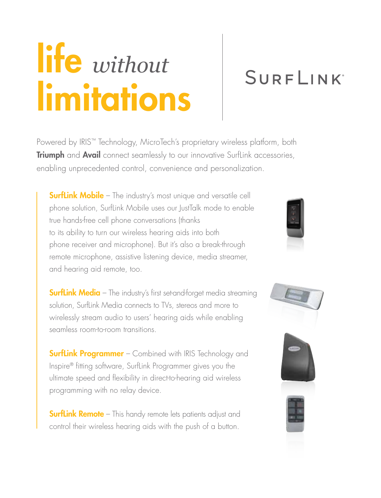## life *without* limitations

### **SURFLINK**

Powered by IRIS™ Technology, MicroTech's proprietary wireless platform, both Triumph and Avail connect seamlessly to our innovative Surflink accessories, enabling unprecedented control, convenience and personalization.

**SurfLink Mobile** – The industry's most unique and versatile cell phone solution, SurfLink Mobile uses our JustTalk mode to enable true hands-free cell phone conversations (thanks to its ability to turn our wireless hearing aids into both phone receiver and microphone). But it's also a break-through remote microphone, assistive listening device, media streamer, and hearing aid remote, too.

**SurfLink Media** – The industry's first set-and-forget media streaming solution, SurfLink Media connects to TVs, stereos and more to wirelessly stream audio to users' hearing aids while enabling seamless room-to-room transitions.

**SurfLink Programmer** – Combined with IRIS Technology and Inspire® fitting software, SurfLink Programmer gives you the ultimate speed and flexibility in direct-to-hearing aid wireless programming with no relay device.

**SurfLink Remote** – This handy remote lets patients adjust and control their wireless hearing aids with the push of a button.